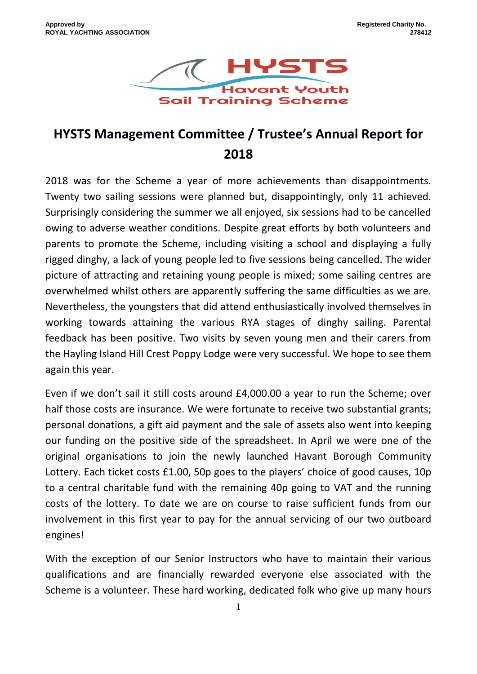

# **HYSTS Management Committee / Trustee's Annual Report for 2018**

2018 was for the Scheme a year of more achievements than disappointments. Twenty two sailing sessions were planned but, disappointingly, only 11 achieved. Surprisingly considering the summer we all enjoyed, six sessions had to be cancelled owing to adverse weather conditions. Despite great efforts by both volunteers and parents to promote the Scheme, including visiting a school and displaying a fully rigged dinghy, a lack of young people led to five sessions being cancelled. The wider picture of attracting and retaining young people is mixed; some sailing centres are overwhelmed whilst others are apparently suffering the same difficulties as we are. Nevertheless, the youngsters that did attend enthusiastically involved themselves in working towards attaining the various RYA stages of dinghy sailing. Parental feedback has been positive. Two visits by seven young men and their carers from the Hayling Island Hill Crest Poppy Lodge were very successful. We hope to see them again this year.

Even if we don't sail it still costs around £4,000.00 a year to run the Scheme; over half those costs are insurance. We were fortunate to receive two substantial grants; personal donations, a gift aid payment and the sale of assets also went into keeping our funding on the positive side of the spreadsheet. In April we were one of the original organisations to join the newly launched Havant Borough Community Lottery. Each ticket costs £1.00, 50p goes to the players' choice of good causes, 10p to a central charitable fund with the remaining 40p going to VAT and the running costs of the lottery. To date we are on course to raise sufficient funds from our involvement in this first year to pay for the annual servicing of our two outboard engines!

With the exception of our Senior Instructors who have to maintain their various qualifications and are financially rewarded everyone else associated with the Scheme is a volunteer. These hard working, dedicated folk who give up many hours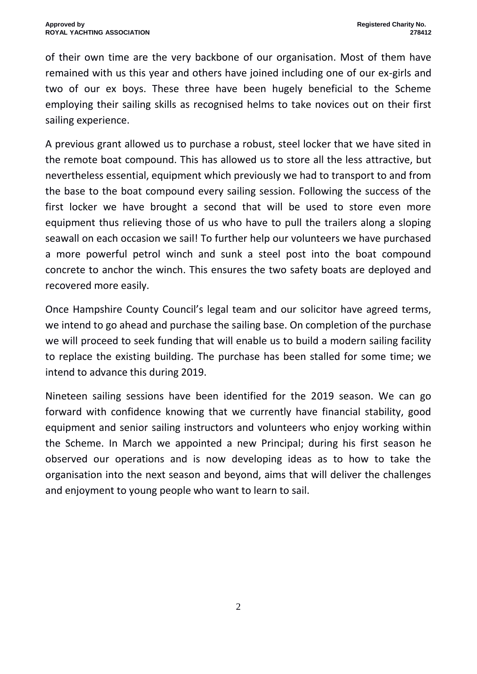of their own time are the very backbone of our organisation. Most of them have remained with us this year and others have joined including one of our ex-girls and two of our ex boys. These three have been hugely beneficial to the Scheme employing their sailing skills as recognised helms to take novices out on their first sailing experience.

A previous grant allowed us to purchase a robust, steel locker that we have sited in the remote boat compound. This has allowed us to store all the less attractive, but nevertheless essential, equipment which previously we had to transport to and from the base to the boat compound every sailing session. Following the success of the first locker we have brought a second that will be used to store even more equipment thus relieving those of us who have to pull the trailers along a sloping seawall on each occasion we sail! To further help our volunteers we have purchased a more powerful petrol winch and sunk a steel post into the boat compound concrete to anchor the winch. This ensures the two safety boats are deployed and recovered more easily.

Once Hampshire County Council's legal team and our solicitor have agreed terms, we intend to go ahead and purchase the sailing base. On completion of the purchase we will proceed to seek funding that will enable us to build a modern sailing facility to replace the existing building. The purchase has been stalled for some time; we intend to advance this during 2019.

Nineteen sailing sessions have been identified for the 2019 season. We can go forward with confidence knowing that we currently have financial stability, good equipment and senior sailing instructors and volunteers who enjoy working within the Scheme. In March we appointed a new Principal; during his first season he observed our operations and is now developing ideas as to how to take the organisation into the next season and beyond, aims that will deliver the challenges and enjoyment to young people who want to learn to sail.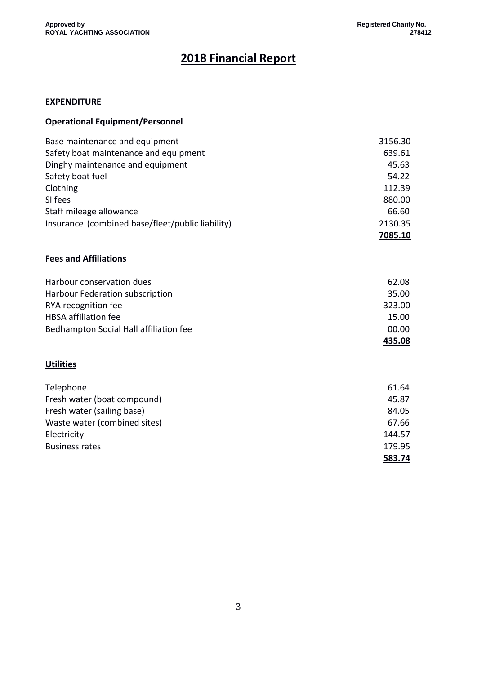## **2018 Financial Report**

#### **EXPENDITURE**

| Base maintenance and equipment                   | 3156.30 |
|--------------------------------------------------|---------|
| Safety boat maintenance and equipment            | 639.61  |
| Dinghy maintenance and equipment                 | 45.63   |
| Safety boat fuel                                 | 54.22   |
| Clothing                                         | 112.39  |
| SI fees                                          | 880.00  |
| Staff mileage allowance                          | 66.60   |
| Insurance (combined base/fleet/public liability) | 2130.35 |
|                                                  | 7085.10 |

#### **Fees and Affiliations**

| Harbour conservation dues              | 62.08  |
|----------------------------------------|--------|
| Harbour Federation subscription        | 35.00  |
| RYA recognition fee                    | 323.00 |
| <b>HBSA</b> affiliation fee            | 15.00  |
| Bedhampton Social Hall affiliation fee | 00.00  |
|                                        | 435.08 |

#### **Utilities**

| Telephone                    | 61.64  |
|------------------------------|--------|
| Fresh water (boat compound)  | 45.87  |
| Fresh water (sailing base)   | 84.05  |
| Waste water (combined sites) | 67.66  |
| Electricity                  | 144.57 |
| <b>Business rates</b>        | 179.95 |
|                              | 583.74 |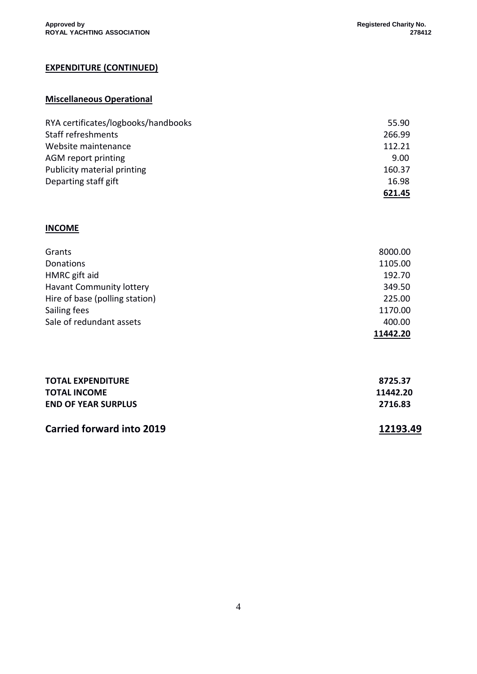## **EXPENDITURE (CONTINUED)**

#### **Miscellaneous Operational**

| RYA certificates/logbooks/handbooks | 55.90  |
|-------------------------------------|--------|
| Staff refreshments                  | 266.99 |
| Website maintenance                 | 112.21 |
| AGM report printing                 | 9.00   |
| Publicity material printing         | 160.37 |
| Departing staff gift                | 16.98  |
|                                     | 621.45 |

#### **INCOME**

| Grants                          | 8000.00  |
|---------------------------------|----------|
| Donations                       | 1105.00  |
| HMRC gift aid                   | 192.70   |
| <b>Havant Community lottery</b> | 349.50   |
| Hire of base (polling station)  | 225.00   |
| Sailing fees                    | 1170.00  |
| Sale of redundant assets        | 400.00   |
|                                 | 11442.20 |

| Carried forward into 2019  | 12193.49 |
|----------------------------|----------|
| <b>END OF YEAR SURPLUS</b> | 2716.83  |
| <b>TOTAL INCOME</b>        | 11442.20 |
| <b>TOTAL EXPENDITURE</b>   | 8725.37  |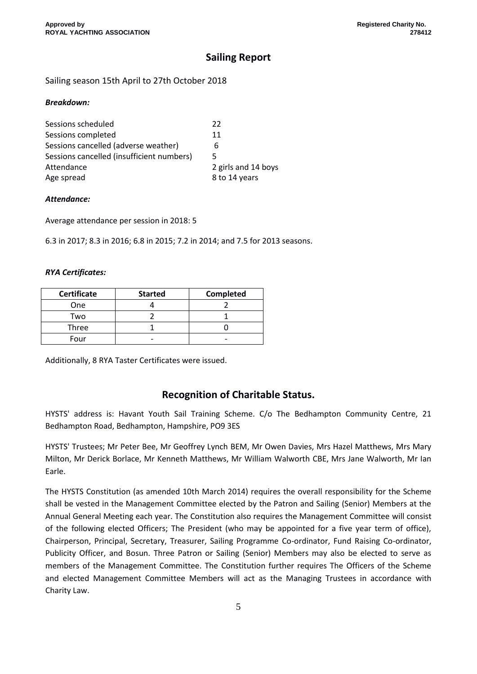## **Sailing Report**

Sailing season 15th April to 27th October 2018

#### *Breakdown:*

| 2 girls and 14 boys |
|---------------------|
|                     |
|                     |

#### *Attendance:*

Average attendance per session in 2018: 5

6.3 in 2017; 8.3 in 2016; 6.8 in 2015; 7.2 in 2014; and 7.5 for 2013 seasons.

#### *RYA Certificates:*

| <b>Certificate</b> | <b>Started</b> | Completed |
|--------------------|----------------|-----------|
| One                |                |           |
| Two                |                |           |
| Three              |                |           |
| Four               |                |           |

Additionally, 8 RYA Taster Certificates were issued.

## **Recognition of Charitable Status.**

HYSTS' address is: Havant Youth Sail Training Scheme. C/o The Bedhampton Community Centre, 21 Bedhampton Road, Bedhampton, Hampshire, PO9 3ES

HYSTS' Trustees; Mr Peter Bee, Mr Geoffrey Lynch BEM, Mr Owen Davies, Mrs Hazel Matthews, Mrs Mary Milton, Mr Derick Borlace, Mr Kenneth Matthews, Mr William Walworth CBE, Mrs Jane Walworth, Mr Ian Earle.

The HYSTS Constitution (as amended 10th March 2014) requires the overall responsibility for the Scheme shall be vested in the Management Committee elected by the Patron and Sailing (Senior) Members at the Annual General Meeting each year. The Constitution also requires the Management Committee will consist of the following elected Officers; The President (who may be appointed for a five year term of office), Chairperson, Principal, Secretary, Treasurer, Sailing Programme Co-ordinator, Fund Raising Co-ordinator, Publicity Officer, and Bosun. Three Patron or Sailing (Senior) Members may also be elected to serve as members of the Management Committee. The Constitution further requires The Officers of the Scheme and elected Management Committee Members will act as the Managing Trustees in accordance with Charity Law.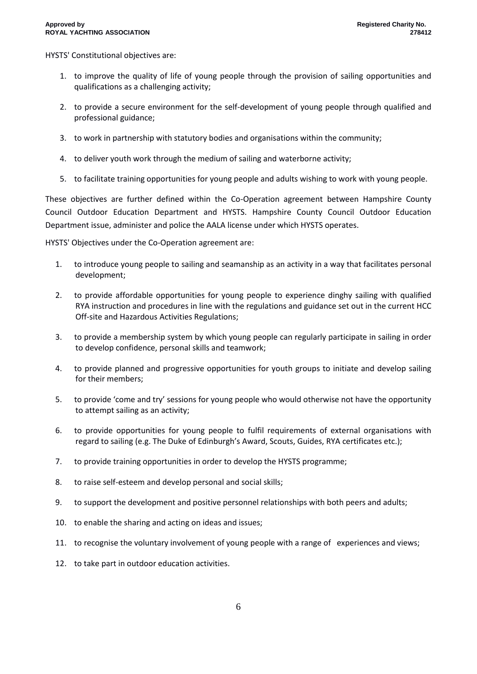HYSTS' Constitutional objectives are:

- 1. to improve the quality of life of young people through the provision of sailing opportunities and qualifications as a challenging activity;
- 2. to provide a secure environment for the self-development of young people through qualified and professional guidance;
- 3. to work in partnership with statutory bodies and organisations within the community;
- 4. to deliver youth work through the medium of sailing and waterborne activity;
- 5. to facilitate training opportunities for young people and adults wishing to work with young people.

These objectives are further defined within the Co-Operation agreement between Hampshire County Council Outdoor Education Department and HYSTS. Hampshire County Council Outdoor Education Department issue, administer and police the AALA license under which HYSTS operates.

HYSTS' Objectives under the Co-Operation agreement are:

- 1. to introduce young people to sailing and seamanship as an activity in a way that facilitates personal development;
- 2. to provide affordable opportunities for young people to experience dinghy sailing with qualified RYA instruction and procedures in line with the regulations and guidance set out in the current HCC Off-site and Hazardous Activities Regulations;
- 3. to provide a membership system by which young people can regularly participate in sailing in order to develop confidence, personal skills and teamwork;
- 4. to provide planned and progressive opportunities for youth groups to initiate and develop sailing for their members;
- 5. to provide 'come and try' sessions for young people who would otherwise not have the opportunity to attempt sailing as an activity;
- 6. to provide opportunities for young people to fulfil requirements of external organisations with regard to sailing (e.g. The Duke of Edinburgh's Award, Scouts, Guides, RYA certificates etc.);
- 7. to provide training opportunities in order to develop the HYSTS programme;
- 8. to raise self-esteem and develop personal and social skills;
- 9. to support the development and positive personnel relationships with both peers and adults;
- 10. to enable the sharing and acting on ideas and issues;
- 11. to recognise the voluntary involvement of young people with a range of experiences and views;
- 12. to take part in outdoor education activities.